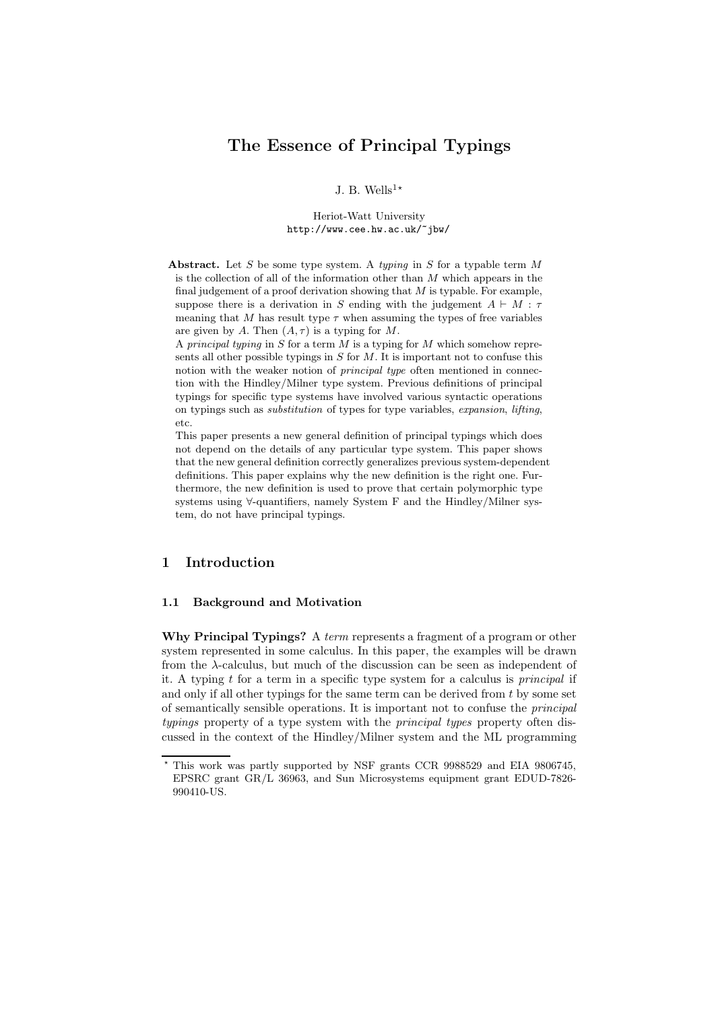# The Essence of Principal Typings

### J. B. Wells<sup>1 $\star$ </sup>

Heriot-Watt University http://www.cee.hw.ac.uk/~jbw/

Abstract. Let S be some type system. A typing in S for a typable term  $M$ is the collection of all of the information other than  $M$  which appears in the final judgement of a proof derivation showing that  $M$  is typable. For example, suppose there is a derivation in S ending with the judgement  $A \vdash M : \tau$ meaning that M has result type  $\tau$  when assuming the types of free variables are given by A. Then  $(A, \tau)$  is a typing for M.

A principal typing in  $S$  for a term  $M$  is a typing for  $M$  which somehow represents all other possible typings in  $S$  for  $M$ . It is important not to confuse this notion with the weaker notion of *principal type* often mentioned in connection with the Hindley/Milner type system. Previous definitions of principal typings for specific type systems have involved various syntactic operations on typings such as substitution of types for type variables, expansion, lifting, etc.

This paper presents a new general definition of principal typings which does not depend on the details of any particular type system. This paper shows that the new general definition correctly generalizes previous system-dependent definitions. This paper explains why the new definition is the right one. Furthermore, the new definition is used to prove that certain polymorphic type systems using ∀-quantifiers, namely System F and the Hindley/Milner system, do not have principal typings.

# 1 Introduction

### 1.1 Background and Motivation

Why Principal Typings? A term represents a fragment of a program or other system represented in some calculus. In this paper, the examples will be drawn from the λ-calculus, but much of the discussion can be seen as independent of it. A typing  $t$  for a term in a specific type system for a calculus is *principal* if and only if all other typings for the same term can be derived from t by some set of semantically sensible operations. It is important not to confuse the principal typings property of a type system with the principal types property often discussed in the context of the Hindley/Milner system and the ML programming

<sup>?</sup> This work was partly supported by NSF grants CCR 9988529 and EIA 9806745, EPSRC grant GR/L 36963, and Sun Microsystems equipment grant EDUD-7826- 990410-US.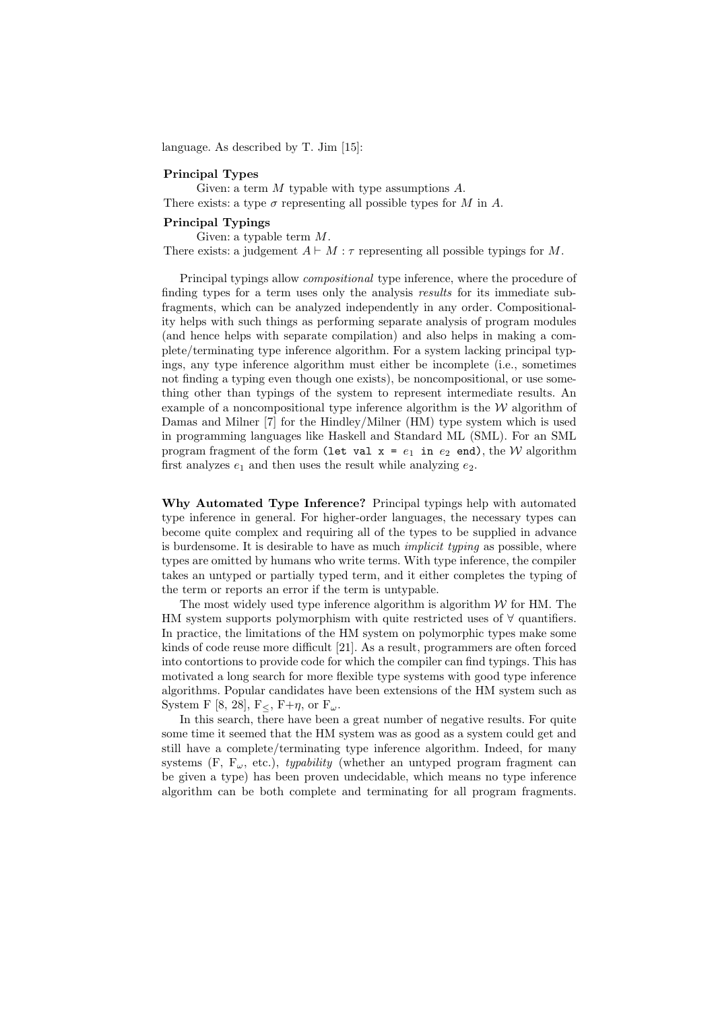language. As described by T. Jim [15]:

#### Principal Types

Given: a term M typable with type assumptions A. There exists: a type  $\sigma$  representing all possible types for M in A.

#### Principal Typings

Given: a typable term M. There exists: a judgement  $A \vdash M : \tau$  representing all possible typings for M.

Principal typings allow compositional type inference, where the procedure of finding types for a term uses only the analysis *results* for its immediate subfragments, which can be analyzed independently in any order. Compositionality helps with such things as performing separate analysis of program modules (and hence helps with separate compilation) and also helps in making a complete/terminating type inference algorithm. For a system lacking principal typings, any type inference algorithm must either be incomplete (i.e., sometimes not finding a typing even though one exists), be noncompositional, or use something other than typings of the system to represent intermediate results. An example of a noncompositional type inference algorithm is the  $W$  algorithm of Damas and Milner [7] for the Hindley/Milner (HM) type system which is used in programming languages like Haskell and Standard ML (SML). For an SML program fragment of the form (let val  $x = e_1$  in  $e_2$  end), the W algorithm first analyzes  $e_1$  and then uses the result while analyzing  $e_2$ .

Why Automated Type Inference? Principal typings help with automated type inference in general. For higher-order languages, the necessary types can become quite complex and requiring all of the types to be supplied in advance is burdensome. It is desirable to have as much *implicit typing* as possible, where types are omitted by humans who write terms. With type inference, the compiler takes an untyped or partially typed term, and it either completes the typing of the term or reports an error if the term is untypable.

The most widely used type inference algorithm is algorithm  $W$  for HM. The HM system supports polymorphism with quite restricted uses of  $\forall$  quantifiers. In practice, the limitations of the HM system on polymorphic types make some kinds of code reuse more difficult [21]. As a result, programmers are often forced into contortions to provide code for which the compiler can find typings. This has motivated a long search for more flexible type systems with good type inference algorithms. Popular candidates have been extensions of the HM system such as System F [8, 28], F \, F +  $\eta$ , or F  $_{\omega}$ .

In this search, there have been a great number of negative results. For quite some time it seemed that the HM system was as good as a system could get and still have a complete/terminating type inference algorithm. Indeed, for many systems (F,  $F_{\omega}$ , etc.), typability (whether an untyped program fragment can be given a type) has been proven undecidable, which means no type inference algorithm can be both complete and terminating for all program fragments.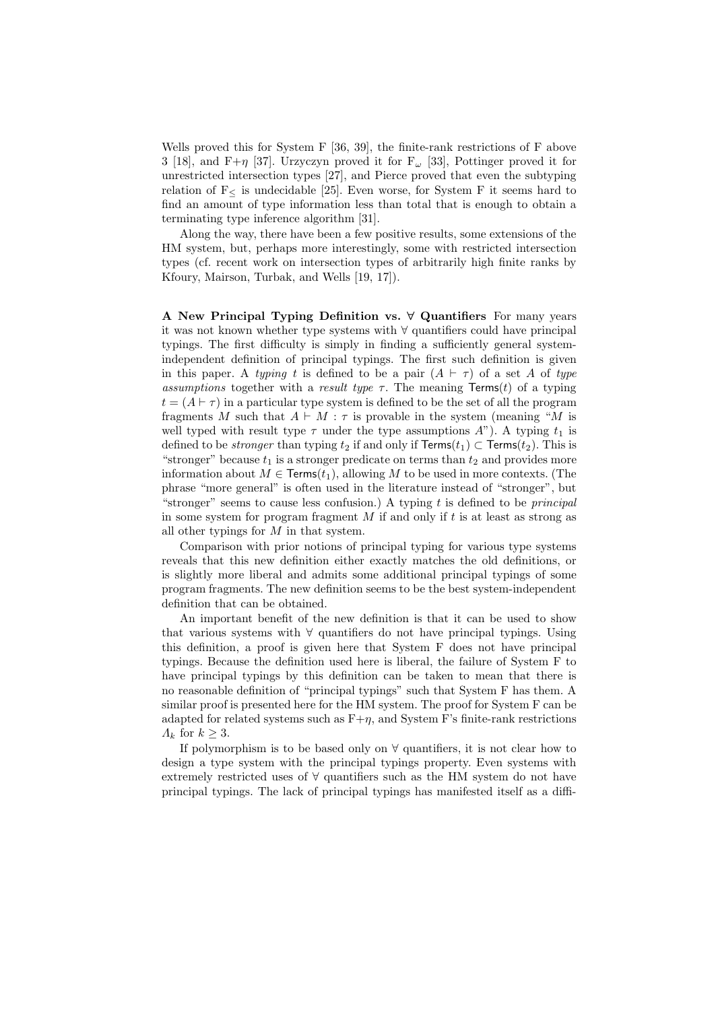Wells proved this for System F [36, 39], the finite-rank restrictions of F above 3 [18], and F+ $\eta$  [37]. Urzyczyn proved it for  $F_{\omega}$  [33], Pottinger proved it for unrestricted intersection types [27], and Pierce proved that even the subtyping relation of  $F<$  is undecidable [25]. Even worse, for System F it seems hard to find an amount of type information less than total that is enough to obtain a terminating type inference algorithm [31].

Along the way, there have been a few positive results, some extensions of the HM system, but, perhaps more interestingly, some with restricted intersection types (cf. recent work on intersection types of arbitrarily high finite ranks by Kfoury, Mairson, Turbak, and Wells [19, 17]).

A New Principal Typing Definition vs.  $\forall$  Quantifiers For many years it was not known whether type systems with ∀ quantifiers could have principal typings. The first difficulty is simply in finding a sufficiently general systemindependent definition of principal typings. The first such definition is given in this paper. A typing t is defined to be a pair  $(A \vdash \tau)$  of a set A of type assumptions together with a result type  $\tau$ . The meaning Terms(t) of a typing  $t = (A \vdash \tau)$  in a particular type system is defined to be the set of all the program fragments M such that  $A \vdash M : \tau$  is provable in the system (meaning "M is well typed with result type  $\tau$  under the type assumptions  $A$ "). A typing  $t_1$  is defined to be *stronger* than typing  $t_2$  if and only if  $\mathsf{Terms}(t_1) \subset \mathsf{Terms}(t_2)$ . This is "stronger" because  $t_1$  is a stronger predicate on terms than  $t_2$  and provides more information about  $M \in \text{Terms}(t_1)$ , allowing M to be used in more contexts. (The phrase "more general" is often used in the literature instead of "stronger", but "stronger" seems to cause less confusion.) A typing  $t$  is defined to be *principal* in some system for program fragment  $M$  if and only if  $t$  is at least as strong as all other typings for  $M$  in that system.

Comparison with prior notions of principal typing for various type systems reveals that this new definition either exactly matches the old definitions, or is slightly more liberal and admits some additional principal typings of some program fragments. The new definition seems to be the best system-independent definition that can be obtained.

An important benefit of the new definition is that it can be used to show that various systems with ∀ quantifiers do not have principal typings. Using this definition, a proof is given here that System F does not have principal typings. Because the definition used here is liberal, the failure of System F to have principal typings by this definition can be taken to mean that there is no reasonable definition of "principal typings" such that System F has them. A similar proof is presented here for the HM system. The proof for System F can be adapted for related systems such as  $F+\eta$ , and System F's finite-rank restrictions  $\Lambda_k$  for  $k \geq 3$ .

If polymorphism is to be based only on  $\forall$  quantifiers, it is not clear how to design a type system with the principal typings property. Even systems with extremely restricted uses of ∀ quantifiers such as the HM system do not have principal typings. The lack of principal typings has manifested itself as a diffi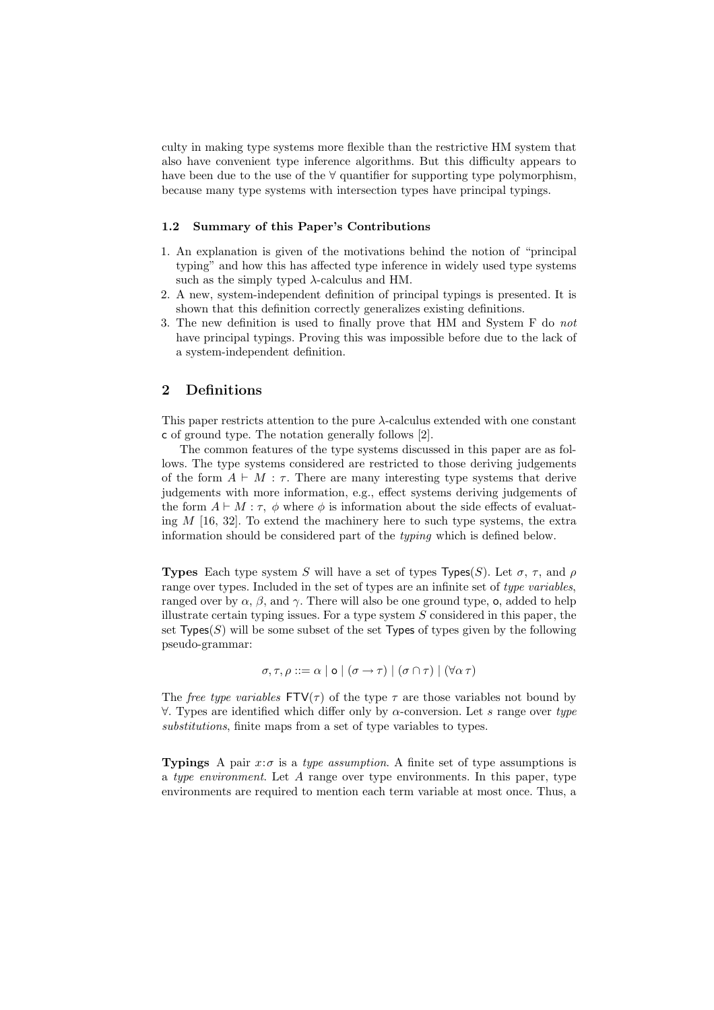culty in making type systems more flexible than the restrictive HM system that also have convenient type inference algorithms. But this difficulty appears to have been due to the use of the  $\forall$  quantifier for supporting type polymorphism, because many type systems with intersection types have principal typings.

#### 1.2 Summary of this Paper's Contributions

- 1. An explanation is given of the motivations behind the notion of "principal typing" and how this has affected type inference in widely used type systems such as the simply typed  $\lambda$ -calculus and HM.
- 2. A new, system-independent definition of principal typings is presented. It is shown that this definition correctly generalizes existing definitions.
- 3. The new definition is used to finally prove that HM and System F do not have principal typings. Proving this was impossible before due to the lack of a system-independent definition.

### 2 Definitions

This paper restricts attention to the pure  $\lambda$ -calculus extended with one constant c of ground type. The notation generally follows [2].

The common features of the type systems discussed in this paper are as follows. The type systems considered are restricted to those deriving judgements of the form  $A \vdash M : \tau$ . There are many interesting type systems that derive judgements with more information, e.g., effect systems deriving judgements of the form  $A \vdash M : \tau$ ,  $\phi$  where  $\phi$  is information about the side effects of evaluating  $M$  [16, 32]. To extend the machinery here to such type systems, the extra information should be considered part of the typing which is defined below.

**Types** Each type system S will have a set of types  $\mathsf{Types}(S)$ . Let  $\sigma$ ,  $\tau$ , and  $\rho$ range over types. Included in the set of types are an infinite set of type variables, ranged over by  $\alpha$ ,  $\beta$ , and  $\gamma$ . There will also be one ground type, **o**, added to help illustrate certain typing issues. For a type system  $S$  considered in this paper, the set  $\text{Types}(S)$  will be some subset of the set  $\text{Types}$  of types given by the following pseudo-grammar:

$$
\sigma, \tau, \rho ::= \alpha \mid o \mid (\sigma \rightarrow \tau) \mid (\sigma \cap \tau) \mid (\forall \alpha \tau)
$$

The free type variables  $FTV(\tau)$  of the type  $\tau$  are those variables not bound by  $\forall$ . Types are identified which differ only by  $\alpha$ -conversion. Let s range over type substitutions, finite maps from a set of type variables to types.

**Typings** A pair  $x:\sigma$  is a type assumption. A finite set of type assumptions is a type environment. Let A range over type environments. In this paper, type environments are required to mention each term variable at most once. Thus, a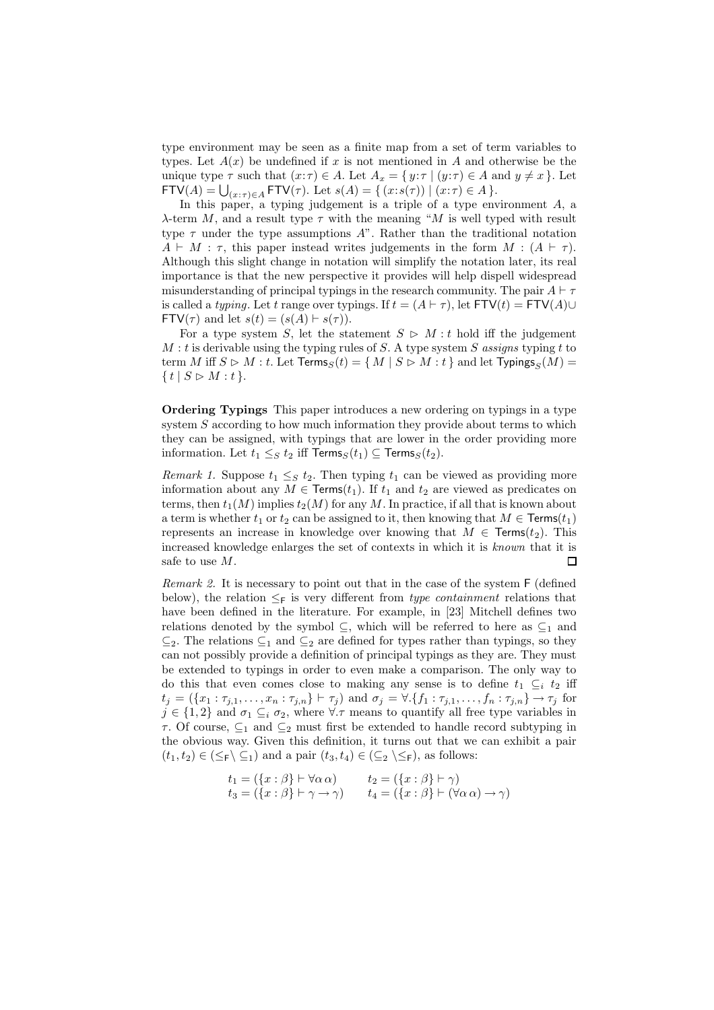type environment may be seen as a finite map from a set of term variables to types. Let  $A(x)$  be undefined if x is not mentioned in A and otherwise be the unique type  $\tau$  such that  $(x:\tau) \in A$ . Let  $A_x = \{y:\tau | (y:\tau) \in A \text{ and } y \neq x\}$ . Let  $\mathsf{FTV}(A) = \bigcup_{(x:\tau) \in A} \mathsf{FTV}(\tau)$ . Let  $s(A) = \{ (x:s(\tau)) \mid (x:\tau) \in A \}$ .

In this paper, a typing judgement is a triple of a type environment A, a  $\lambda$ -term M, and a result type  $\tau$  with the meaning "M is well typed with result type  $\tau$  under the type assumptions  $A^{\nu}$ . Rather than the traditional notation  $A \vdash M : \tau$ , this paper instead writes judgements in the form  $M : (A \vdash \tau)$ . Although this slight change in notation will simplify the notation later, its real importance is that the new perspective it provides will help dispell widespread misunderstanding of principal typings in the research community. The pair  $A \vdash \tau$ is called a typing. Let t range over typings. If  $t = (A \vdash \tau)$ , let  $FTV(t) = FTV(A) \cup$ FTV( $\tau$ ) and let  $s(t) = (s(A) \vdash s(\tau))$ .

For a type system S, let the statement  $S \supset M : t$  hold iff the judgement  $M : t$  is derivable using the typing rules of S. A type system S assigns typing t to term M iff  $S \triangleright M : t$ . Let  $\text{Terms}_{S}(t) = \{ M | S \triangleright M : t \}$  and let  $\text{Typings}_{S}(M) =$  $\{t \mid S \rhd M : t\}.$ 

Ordering Typings This paper introduces a new ordering on typings in a type system S according to how much information they provide about terms to which they can be assigned, with typings that are lower in the order providing more information. Let  $t_1 \leq_S t_2$  iff  $\mathsf{Terms}_S(t_1) \subseteq \mathsf{Terms}_S(t_2)$ .

Remark 1. Suppose  $t_1 \leq s$   $t_2$ . Then typing  $t_1$  can be viewed as providing more information about any  $M \in \text{Terms}(t_1)$ . If  $t_1$  and  $t_2$  are viewed as predicates on terms, then  $t_1(M)$  implies  $t_2(M)$  for any M. In practice, if all that is known about a term is whether  $t_1$  or  $t_2$  can be assigned to it, then knowing that  $M \in \text{Terms}(t_1)$ represents an increase in knowledge over knowing that  $M \in \mathsf{Terms}(t_2)$ . This increased knowledge enlarges the set of contexts in which it is known that it is safe to use M.  $\Box$ 

Remark 2. It is necessary to point out that in the case of the system F (defined below), the relation  $\leq_F$  is very different from type containment relations that have been defined in the literature. For example, in [23] Mitchell defines two relations denoted by the symbol  $\subseteq$ , which will be referred to here as  $\subseteq$ <sub>1</sub> and  $\subseteq_2$ . The relations  $\subseteq_1$  and  $\subseteq_2$  are defined for types rather than typings, so they can not possibly provide a definition of principal typings as they are. They must be extended to typings in order to even make a comparison. The only way to do this that even comes close to making any sense is to define  $t_1 \subseteq_i t_2$  iff  $t_j = (\{x_1 : \tau_{j,1}, \ldots, x_n : \tau_{j,n}\} \vdash \tau_j)$  and  $\sigma_j = \forall \{f_1 : \tau_{j,1}, \ldots, f_n : \tau_{j,n}\} \to \tau_j$  for  $j \in \{1,2\}$  and  $\sigma_1 \subseteq_i \sigma_2$ , where  $\forall \tau$  means to quantify all free type variables in  $\tau$ . Of course,  $\subseteq_1$  and  $\subseteq_2$  must first be extended to handle record subtyping in the obvious way. Given this definition, it turns out that we can exhibit a pair  $(t_1,t_2) \in (\leq_F \setminus \subseteq_1)$  and a pair  $(t_3,t_4) \in (\subseteq_2 \setminus \leq_F)$ , as follows:

$$
t_1 = (\{x : \beta\} \vdash \forall \alpha \alpha) \qquad t_2 = (\{x : \beta\} \vdash \gamma) \n t_3 = (\{x : \beta\} \vdash \gamma \rightarrow \gamma) \qquad t_4 = (\{x : \beta\} \vdash (\forall \alpha \alpha) \rightarrow \gamma)
$$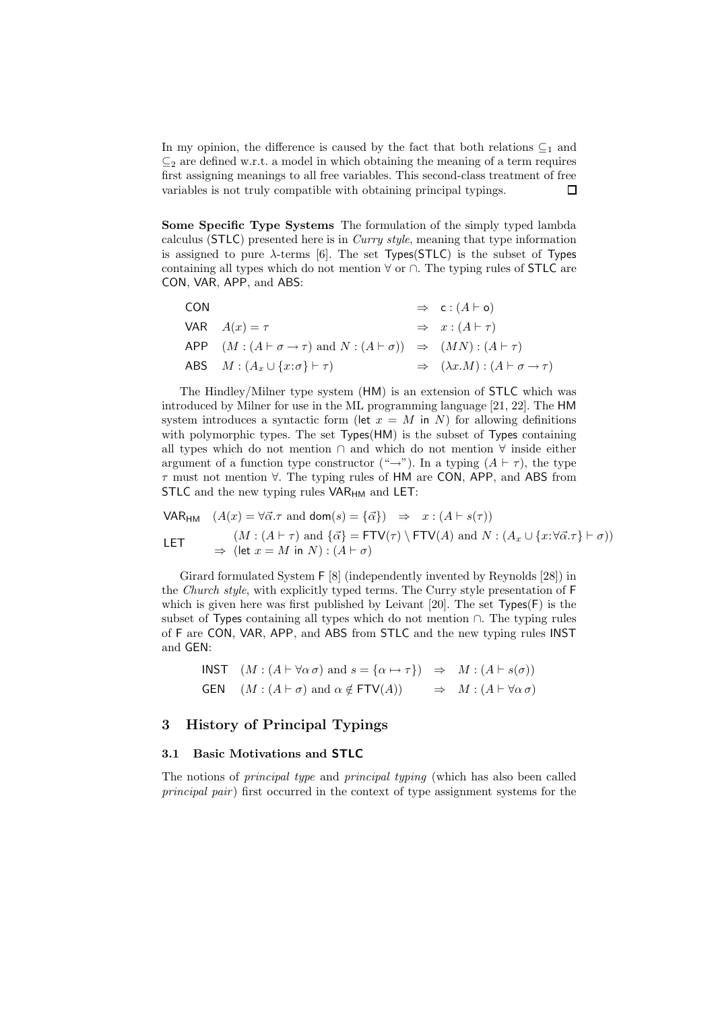In my opinion, the difference is caused by the fact that both relations  $\subseteq_1$  and  $\subseteq_2$  are defined w.r.t. a model in which obtaining the meaning of a term requires first assigning meanings to all free variables. This second-class treatment of free variables is not truly compatible with obtaining principal typings.  $\Box$ 

Some Specific Type Systems The formulation of the simply typed lambda calculus (STLC) presented here is in Curry style, meaning that type information is assigned to pure  $\lambda$ -terms [6]. The set Types(STLC) is the subset of Types containing all types which do not mention ∀ or ∩. The typing rules of STLC are CON, VAR, APP, and ABS:

CON

\n
$$
⇒ c : (A ⊢ o)
$$
\nVAR

\n
$$
A(x) = \tau
$$
\n
$$
⇒ x : (A ⊢ τ)
$$
\nAPP

\n
$$
(M : (A ⊢ σ → τ) and N : (A ⊢ σ))
$$
\n
$$
⇒ (MN) : (A ⊢ τ)
$$
\nABS

\n
$$
M : (A_x ∪ \{x : σ\} ⊢ τ)
$$
\n
$$
⇒ (\lambda x.M) : (A ⊢ σ → τ)
$$

The Hindley/Milner type system (HM) is an extension of STLC which was introduced by Milner for use in the ML programming language [21, 22]. The HM system introduces a syntactic form (let  $x = M$  in N) for allowing definitions with polymorphic types. The set Types(HM) is the subset of Types containing all types which do not mention ∩ and which do not mention ∀ inside either argument of a function type constructor (" $\rightarrow$ "). In a typing  $(A \vdash \tau)$ , the type  $\tau$  must not mention  $\forall$ . The typing rules of HM are CON, APP, and ABS from STLC and the new typing rules VAR<sub>HM</sub> and LET:

\n
$$
\begin{aligned}\n &\text{VAR}_{\text{HM}} \quad (A(x) = \forall \vec{\alpha} \cdot \tau \text{ and } \text{dom}(s) = \{\vec{\alpha}\}) \quad \Rightarrow \quad x : (A \vdash s(\tau)) \\
 &\text{LET} \quad (M : (A \vdash \tau) \text{ and } \{\vec{\alpha}\} = \text{FTV}(\tau) \setminus \text{FTV}(A) \text{ and } N : (A_x \cup \{x : \forall \vec{\alpha} \cdot \tau\} \vdash \sigma)) \\
 &\Rightarrow \text{ (let } x = M \text{ in } N) : (A \vdash \sigma)\n \end{aligned}
$$
\n

Girard formulated System F [8] (independently invented by Reynolds [28]) in the Church style, with explicitly typed terms. The Curry style presentation of F which is given here was first published by Leivant [20]. The set Types(F) is the subset of Types containing all types which do not mention ∩. The typing rules of F are CON, VAR, APP, and ABS from STLC and the new typing rules INST and GEN:

**INST** 
$$
(M : (A \vdash \forall \alpha \sigma) \text{ and } s = {\alpha \mapsto \tau}) \Rightarrow M : (A \vdash s(\sigma))
$$
  
**GEN**  $(M : (A \vdash \sigma) \text{ and } \alpha \notin \text{FTV}(A)) \Rightarrow M : (A \vdash \forall \alpha \sigma)$ 

### 3 History of Principal Typings

#### 3.1 Basic Motivations and STLC

The notions of principal type and principal typing (which has also been called principal pair) first occurred in the context of type assignment systems for the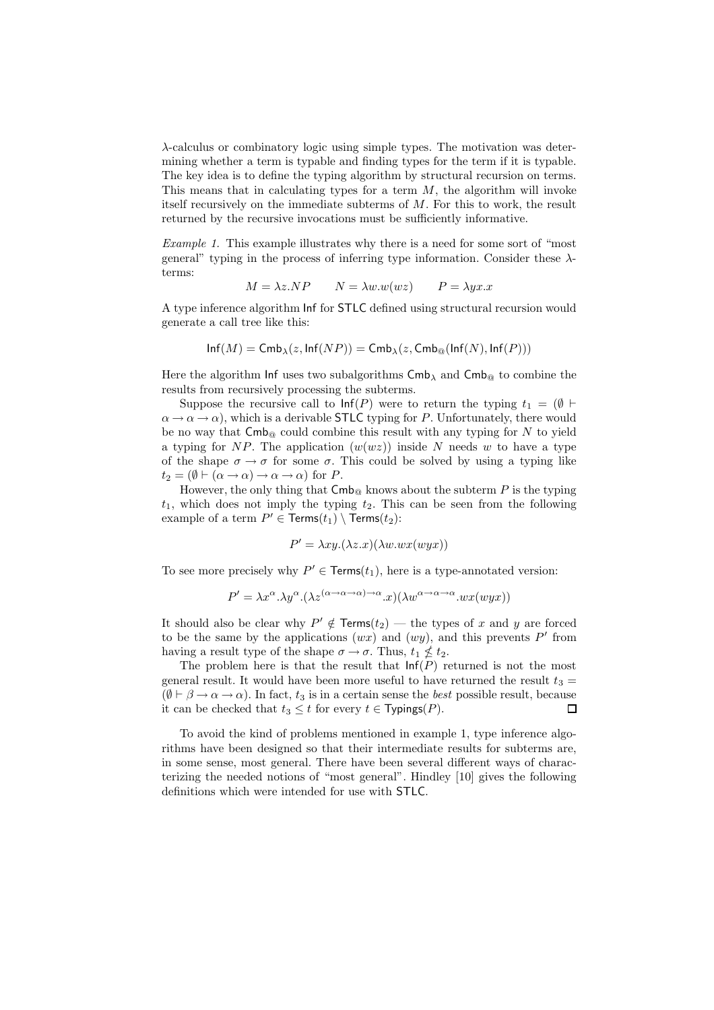λ-calculus or combinatory logic using simple types. The motivation was determining whether a term is typable and finding types for the term if it is typable. The key idea is to define the typing algorithm by structural recursion on terms. This means that in calculating types for a term  $M$ , the algorithm will invoke itself recursively on the immediate subterms of M. For this to work, the result returned by the recursive invocations must be sufficiently informative.

Example 1. This example illustrates why there is a need for some sort of "most general" typing in the process of inferring type information. Consider these  $\lambda$ terms:

$$
M = \lambda z. NP \qquad N = \lambda w. w(wz) \qquad P = \lambda yx. x
$$

A type inference algorithm Inf for STLC defined using structural recursion would generate a call tree like this:

$$
\mathsf{Inf}(M)=\mathsf{Cmb}_\lambda(z,\mathsf{Inf}(NP))=\mathsf{Cmb}_\lambda(z,\mathsf{Cmb}_\text{@}(\mathsf{Inf}(N),\mathsf{Inf}(P)))
$$

Here the algorithm Inf uses two subalgorithms  $\mathsf{Cmb}_{\lambda}$  and  $\mathsf{Cmb}_{\mathfrak{g}}$  to combine the results from recursively processing the subterms.

Suppose the recursive call to  $\text{Inf}(P)$  were to return the typing  $t_1 = (\emptyset \vdash$  $\alpha \rightarrow \alpha \rightarrow \alpha$ ), which is a derivable **STLC** typing for P. Unfortunately, there would be no way that  $\mathsf{Cmb}_{\mathsf{Q}}$  could combine this result with any typing for N to yield a typing for NP. The application  $(w(wz))$  inside N needs w to have a type of the shape  $\sigma \to \sigma$  for some  $\sigma$ . This could be solved by using a typing like  $t_2 = (\emptyset \vdash (\alpha \rightarrow \alpha) \rightarrow \alpha \rightarrow \alpha)$  for P.

However, the only thing that  $\mathsf{Cmb}_{\odot}$  knows about the subterm P is the typing  $t_1$ , which does not imply the typing  $t_2$ . This can be seen from the following example of a term  $P' \in \text{Terms}(t_1) \setminus \text{Terms}(t_2)$ :

$$
P' = \lambda xy.(\lambda z.x)(\lambda w.wx(wyx))
$$

To see more precisely why  $P' \in \text{Terms}(t_1)$ , here is a type-annotated version:

$$
P' = \lambda x^{\alpha}.\lambda y^{\alpha}.(\lambda z^{(\alpha \to \alpha \to \alpha)\to \alpha}.x)(\lambda w^{\alpha \to \alpha \to \alpha}.wx(wyx))
$$

It should also be clear why  $P' \notin \textsf{Terms}(t_2)$  — the types of x and y are forced to be the same by the applications  $(wx)$  and  $(wy)$ , and this prevents  $P'$  from having a result type of the shape  $\sigma \to \sigma$ . Thus,  $t_1 \nleq t_2$ .

The problem here is that the result that  $\text{Inf}(P)$  returned is not the most general result. It would have been more useful to have returned the result  $t_3 =$  $(\emptyset \vdash \beta \to \alpha \to \alpha)$ . In fact,  $t_3$  is in a certain sense the *best* possible result, because it can be checked that  $t_3 \leq t$  for every  $t \in \text{Typings}(P)$ . □

To avoid the kind of problems mentioned in example 1, type inference algorithms have been designed so that their intermediate results for subterms are, in some sense, most general. There have been several different ways of characterizing the needed notions of "most general". Hindley [10] gives the following definitions which were intended for use with STLC.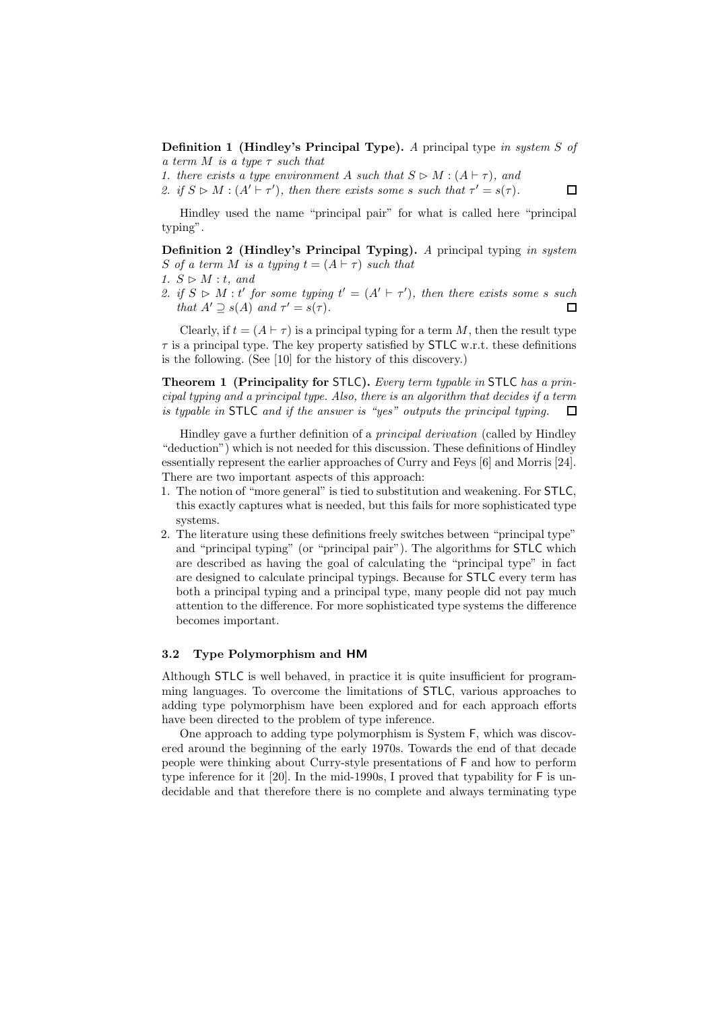**Definition 1 (Hindley's Principal Type).** A principal type in system S of a term M is a type  $\tau$  such that

- 1. there exists a type environment A such that  $S \triangleright M : (A \vdash \tau)$ , and
- 2. if  $S \triangleright M : (A' \vdash \tau')$ , then there exists some s such that  $\tau' = s(\tau)$ .

Hindley used the name "principal pair" for what is called here "principal typing".

Definition 2 (Hindley's Principal Typing). A principal typing in system S of a term M is a typing  $t = (A \vdash \tau)$  such that

- 1.  $S \triangleright M : t$ , and
- 2. if  $S \supset M : t'$  for some typing  $t' = (A' \vdash \tau')$ , then there exists some s such that  $A' \supseteq s(A)$  and  $\tau' = s(\tau)$ . Π

Clearly, if  $t = (A \vdash \tau)$  is a principal typing for a term M, then the result type  $\tau$  is a principal type. The key property satisfied by **STLC** w.r.t. these definitions is the following. (See [10] for the history of this discovery.)

Theorem 1 (Principality for STLC). Every term typable in STLC has a principal typing and a principal type. Also, there is an algorithm that decides if a term is typable in STLC and if the answer is "yes" outputs the principal typing.  $\Box$ 

Hindley gave a further definition of a principal derivation (called by Hindley "deduction") which is not needed for this discussion. These definitions of Hindley essentially represent the earlier approaches of Curry and Feys [6] and Morris [24]. There are two important aspects of this approach:

- 1. The notion of "more general" is tied to substitution and weakening. For STLC, this exactly captures what is needed, but this fails for more sophisticated type systems.
- 2. The literature using these definitions freely switches between "principal type" and "principal typing" (or "principal pair"). The algorithms for STLC which are described as having the goal of calculating the "principal type" in fact are designed to calculate principal typings. Because for STLC every term has both a principal typing and a principal type, many people did not pay much attention to the difference. For more sophisticated type systems the difference becomes important.

### 3.2 Type Polymorphism and HM

Although STLC is well behaved, in practice it is quite insufficient for programming languages. To overcome the limitations of STLC, various approaches to adding type polymorphism have been explored and for each approach efforts have been directed to the problem of type inference.

One approach to adding type polymorphism is System F, which was discovered around the beginning of the early 1970s. Towards the end of that decade people were thinking about Curry-style presentations of F and how to perform type inference for it [20]. In the mid-1990s, I proved that typability for F is undecidable and that therefore there is no complete and always terminating type

 $\Box$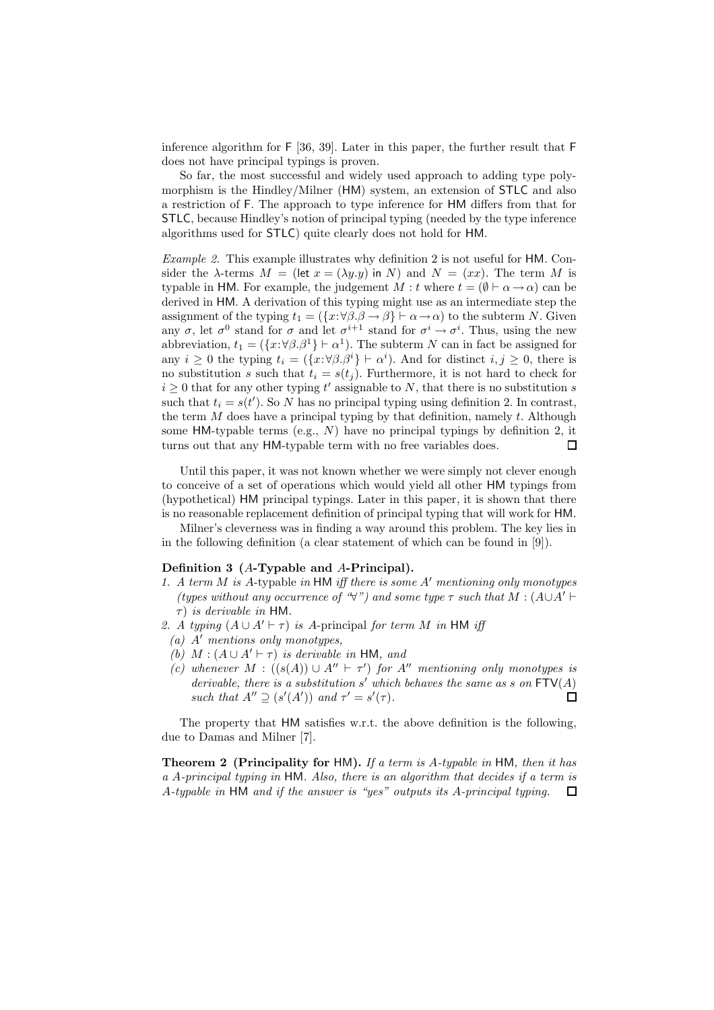inference algorithm for F [36, 39]. Later in this paper, the further result that F does not have principal typings is proven.

So far, the most successful and widely used approach to adding type polymorphism is the Hindley/Milner (HM) system, an extension of STLC and also a restriction of F. The approach to type inference for HM differs from that for STLC, because Hindley's notion of principal typing (needed by the type inference algorithms used for STLC) quite clearly does not hold for HM.

Example 2. This example illustrates why definition 2 is not useful for HM. Consider the  $\lambda$ -terms  $M = (\text{let } x = (\lambda y. y) \text{ in } N)$  and  $N = (xx)$ . The term M is typable in HM. For example, the judgement  $M : t$  where  $t = (\emptyset \vdash \alpha \rightarrow \alpha)$  can be derived in HM. A derivation of this typing might use as an intermediate step the assignment of the typing  $t_1 = (\{x:\forall \beta \beta \rightarrow \beta\} \vdash \alpha \rightarrow \alpha)$  to the subterm N. Given any  $\sigma$ , let  $\sigma^0$  stand for  $\sigma$  and let  $\sigma^{i+1}$  stand for  $\sigma^i \to \sigma^i$ . Thus, using the new abbreviation,  $t_1 = (\{x : \forall \beta \beta^1 \} \vdash \alpha^1)$ . The subterm N can in fact be assigned for any  $i \geq 0$  the typing  $t_i = (\{x: \forall \beta \ldotp \beta^i\} \vdash \alpha^i)$ . And for distinct  $i, j \geq 0$ , there is no substitution s such that  $t_i = s(t_j)$ . Furthermore, it is not hard to check for  $i \geq 0$  that for any other typing  $t'$  assignable to N, that there is no substitution s such that  $t_i = s(t')$ . So N has no principal typing using definition 2. In contrast, the term  $M$  does have a principal typing by that definition, namely  $t$ . Although some  $HM$ -typable terms (e.g.,  $N$ ) have no principal typings by definition 2, it turns out that any HM-typable term with no free variables does.  $\Box$ 

Until this paper, it was not known whether we were simply not clever enough to conceive of a set of operations which would yield all other HM typings from (hypothetical) HM principal typings. Later in this paper, it is shown that there is no reasonable replacement definition of principal typing that will work for HM.

Milner's cleverness was in finding a way around this problem. The key lies in in the following definition (a clear statement of which can be found in [9]).

#### Definition 3 (A-Typable and A-Principal).

- 1. A term  $M$  is A-typable in HM iff there is some  $A'$  mentioning only monotypes (types without any occurrence of " $\forall$ ") and some type  $\tau$  such that  $M : (A \cup A' \vdash$  $\tau$ ) is derivable in HM.
- 2. A typing  $(A \cup A' \vdash \tau)$  is A-principal for term M in HM iff
	- (a)  $A'$  mentions only monotypes,
	- (b)  $M : (A \cup A' \vdash \tau)$  is derivable in HM, and
	- (c) whenever  $M : ((s(A)) \cup A'' \vdash \tau')$  for  $A''$  mentioning only monotypes is derivable, there is a substitution s' which behaves the same as s on  $FTV(A)$ such that  $A'' \supseteq (s'(A'))$  and  $\tau' = s'(\tau)$ .  $\square$

The property that HM satisfies w.r.t. the above definition is the following, due to Damas and Milner [7].

**Theorem 2 (Principality for HM).** If a term is A-typable in HM, then it has a A-principal typing in HM. Also, there is an algorithm that decides if a term is A-typable in HM and if the answer is "yes" outputs its A-principal typing.Π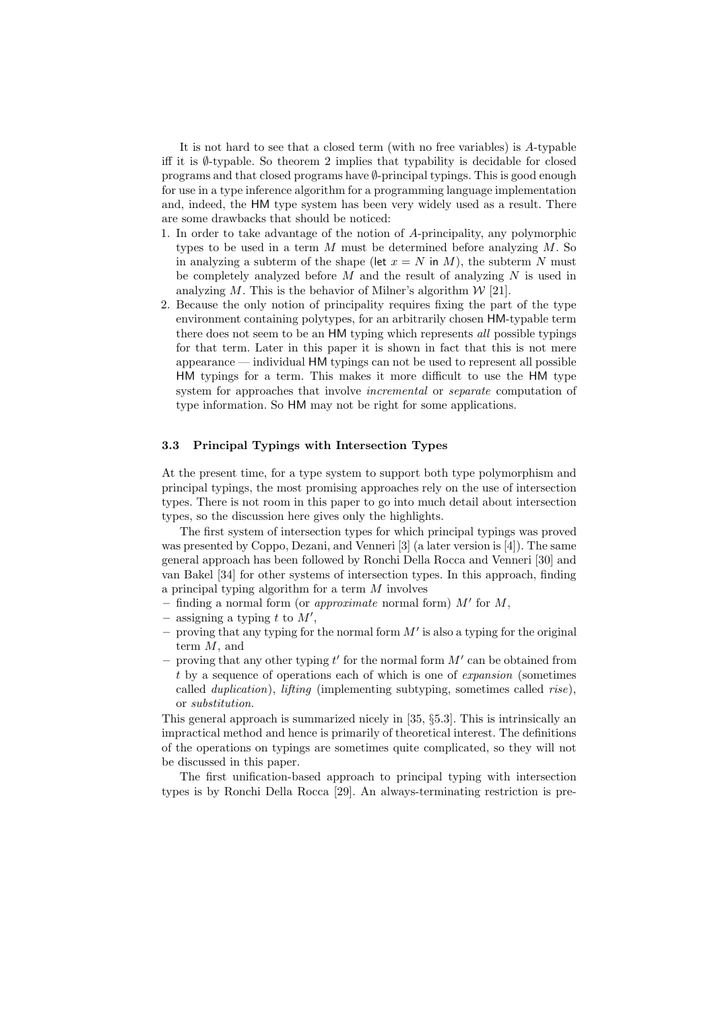It is not hard to see that a closed term (with no free variables) is A-typable iff it is  $\emptyset$ -typable. So theorem 2 implies that typability is decidable for closed programs and that closed programs have ∅-principal typings. This is good enough for use in a type inference algorithm for a programming language implementation and, indeed, the HM type system has been very widely used as a result. There are some drawbacks that should be noticed:

- 1. In order to take advantage of the notion of A-principality, any polymorphic types to be used in a term  $M$  must be determined before analyzing  $M$ . So in analyzing a subterm of the shape (let  $x = N$  in M), the subterm N must be completely analyzed before  $M$  and the result of analyzing  $N$  is used in analyzing M. This is the behavior of Milner's algorithm  $W$  [21].
- 2. Because the only notion of principality requires fixing the part of the type environment containing polytypes, for an arbitrarily chosen HM-typable term there does not seem to be an HM typing which represents all possible typings for that term. Later in this paper it is shown in fact that this is not mere appearance — individual HM typings can not be used to represent all possible HM typings for a term. This makes it more difficult to use the HM type system for approaches that involve *incremental* or *separate* computation of type information. So HM may not be right for some applications.

#### 3.3 Principal Typings with Intersection Types

At the present time, for a type system to support both type polymorphism and principal typings, the most promising approaches rely on the use of intersection types. There is not room in this paper to go into much detail about intersection types, so the discussion here gives only the highlights.

The first system of intersection types for which principal typings was proved was presented by Coppo, Dezani, and Venneri [3] (a later version is [4]). The same general approach has been followed by Ronchi Della Rocca and Venneri [30] and van Bakel [34] for other systems of intersection types. In this approach, finding a principal typing algorithm for a term M involves

- finding a normal form (or *approximate* normal form)  $M'$  for  $M$ ,
- assigning a typing t to  $M'$ ,
- $-$  proving that any typing for the normal form  $M'$  is also a typing for the original term M, and
- proving that any other typing  $t'$  for the normal form  $M'$  can be obtained from t by a sequence of operations each of which is one of expansion (sometimes called *duplication*), *lifting* (implementing subtyping, sometimes called *rise*), or substitution.

This general approach is summarized nicely in [35, §5.3]. This is intrinsically an impractical method and hence is primarily of theoretical interest. The definitions of the operations on typings are sometimes quite complicated, so they will not be discussed in this paper.

The first unification-based approach to principal typing with intersection types is by Ronchi Della Rocca [29]. An always-terminating restriction is pre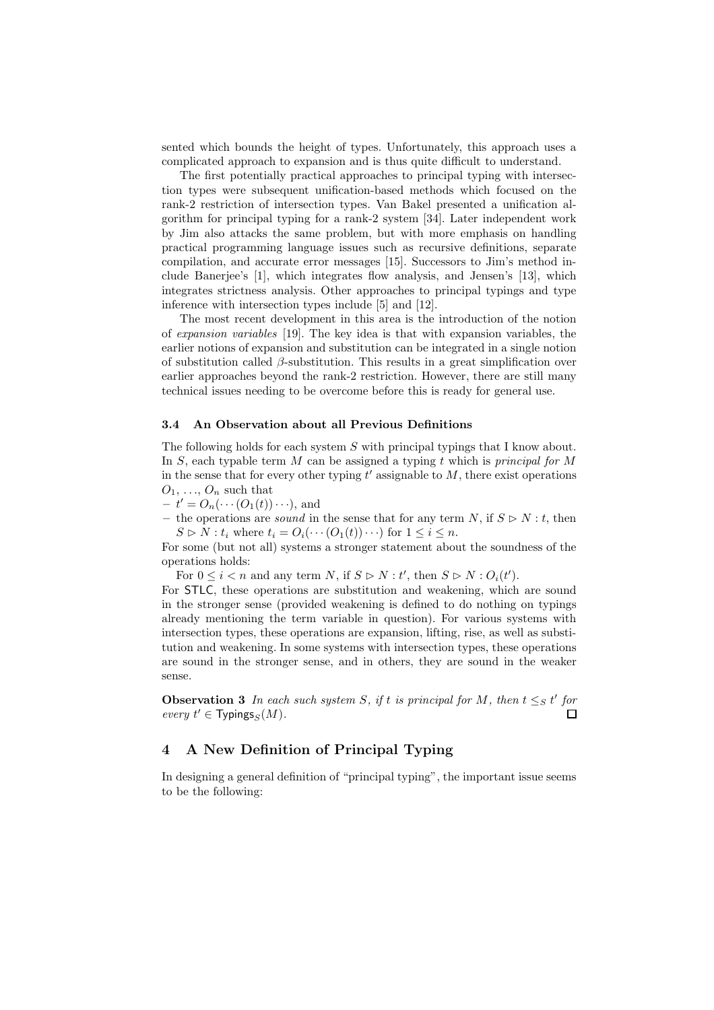sented which bounds the height of types. Unfortunately, this approach uses a complicated approach to expansion and is thus quite difficult to understand.

The first potentially practical approaches to principal typing with intersection types were subsequent unification-based methods which focused on the rank-2 restriction of intersection types. Van Bakel presented a unification algorithm for principal typing for a rank-2 system [34]. Later independent work by Jim also attacks the same problem, but with more emphasis on handling practical programming language issues such as recursive definitions, separate compilation, and accurate error messages [15]. Successors to Jim's method include Banerjee's [1], which integrates flow analysis, and Jensen's [13], which integrates strictness analysis. Other approaches to principal typings and type inference with intersection types include [5] and [12].

The most recent development in this area is the introduction of the notion of expansion variables [19]. The key idea is that with expansion variables, the earlier notions of expansion and substitution can be integrated in a single notion of substitution called β-substitution. This results in a great simplification over earlier approaches beyond the rank-2 restriction. However, there are still many technical issues needing to be overcome before this is ready for general use.

### 3.4 An Observation about all Previous Definitions

The following holds for each system S with principal typings that I know about. In S, each typable term M can be assigned a typing t which is principal for M in the sense that for every other typing  $t'$  assignable to  $M$ , there exist operations  $O_1, \ldots, O_n$  such that

 $-t' = O_n(\cdots(O_1(t))\cdots),$  and

– the operations are *sound* in the sense that for any term N, if  $S \triangleright N : t$ , then  $S \triangleright N : t_i$  where  $t_i = O_i(\cdots(O_1(t)) \cdots)$  for  $1 \leq i \leq n$ .

For some (but not all) systems a stronger statement about the soundness of the operations holds:

For  $0 \leq i < n$  and any term N, if  $S \supset N : t'$ , then  $S \supset N : O_i(t')$ .

For STLC, these operations are substitution and weakening, which are sound in the stronger sense (provided weakening is defined to do nothing on typings already mentioning the term variable in question). For various systems with intersection types, these operations are expansion, lifting, rise, as well as substitution and weakening. In some systems with intersection types, these operations are sound in the stronger sense, and in others, they are sound in the weaker sense.

**Observation 3** In each such system S, if t is principal for M, then  $t \leq_S t'$  for  $every t' \in \text{Typings}_{S}(M).$  $\Box$ 

# 4 A New Definition of Principal Typing

In designing a general definition of "principal typing", the important issue seems to be the following: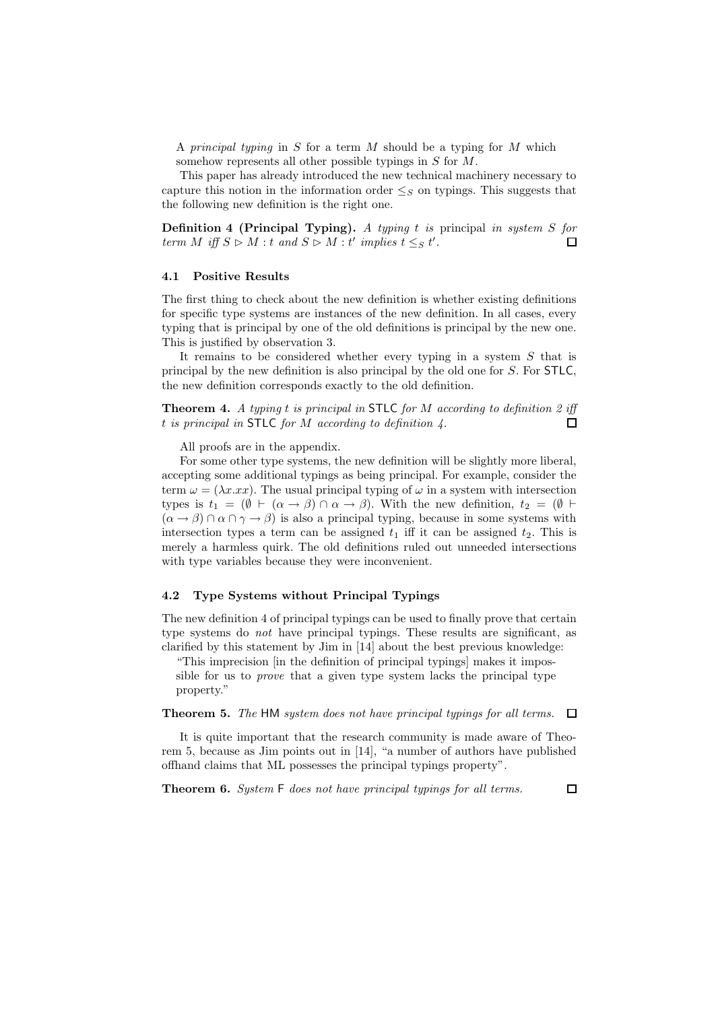A principal typing in S for a term M should be a typing for M which somehow represents all other possible typings in S for M.

This paper has already introduced the new technical machinery necessary to capture this notion in the information order  $\leq_S$  on typings. This suggests that the following new definition is the right one.

**Definition 4 (Principal Typing).** A typing  $t$  is principal in system  $S$  for term M iff  $S \triangleright M : t$  and  $S \triangleright M : t'$  implies  $t \leq_S t'$ . П

#### 4.1 Positive Results

The first thing to check about the new definition is whether existing definitions for specific type systems are instances of the new definition. In all cases, every typing that is principal by one of the old definitions is principal by the new one. This is justified by observation 3.

It remains to be considered whether every typing in a system S that is principal by the new definition is also principal by the old one for S. For STLC, the new definition corresponds exactly to the old definition.

**Theorem 4.** A typing t is principal in STLC for M according to definition 2 iff t is principal in STLC for M according to definition 4. П

All proofs are in the appendix.

For some other type systems, the new definition will be slightly more liberal, accepting some additional typings as being principal. For example, consider the term  $\omega = (\lambda x . x x)$ . The usual principal typing of  $\omega$  in a system with intersection types is  $t_1 = (\emptyset \vdash (\alpha \rightarrow \beta) \cap \alpha \rightarrow \beta)$ . With the new definition,  $t_2 = (\emptyset \vdash$  $(\alpha \rightarrow \beta) \cap \alpha \cap \gamma \rightarrow \beta$  is also a principal typing, because in some systems with intersection types a term can be assigned  $t_1$  iff it can be assigned  $t_2$ . This is merely a harmless quirk. The old definitions ruled out unneeded intersections with type variables because they were inconvenient.

### 4.2 Type Systems without Principal Typings

The new definition 4 of principal typings can be used to finally prove that certain type systems do not have principal typings. These results are significant, as clarified by this statement by Jim in [14] about the best previous knowledge:

"This imprecision [in the definition of principal typings] makes it impossible for us to prove that a given type system lacks the principal type property."

Theorem 5. The HM system does not have principal typings for all terms.  $\Box$ 

It is quite important that the research community is made aware of Theorem 5, because as Jim points out in [14], "a number of authors have published offhand claims that ML possesses the principal typings property".

Theorem 6. System F does not have principal typings for all terms.

 $\Box$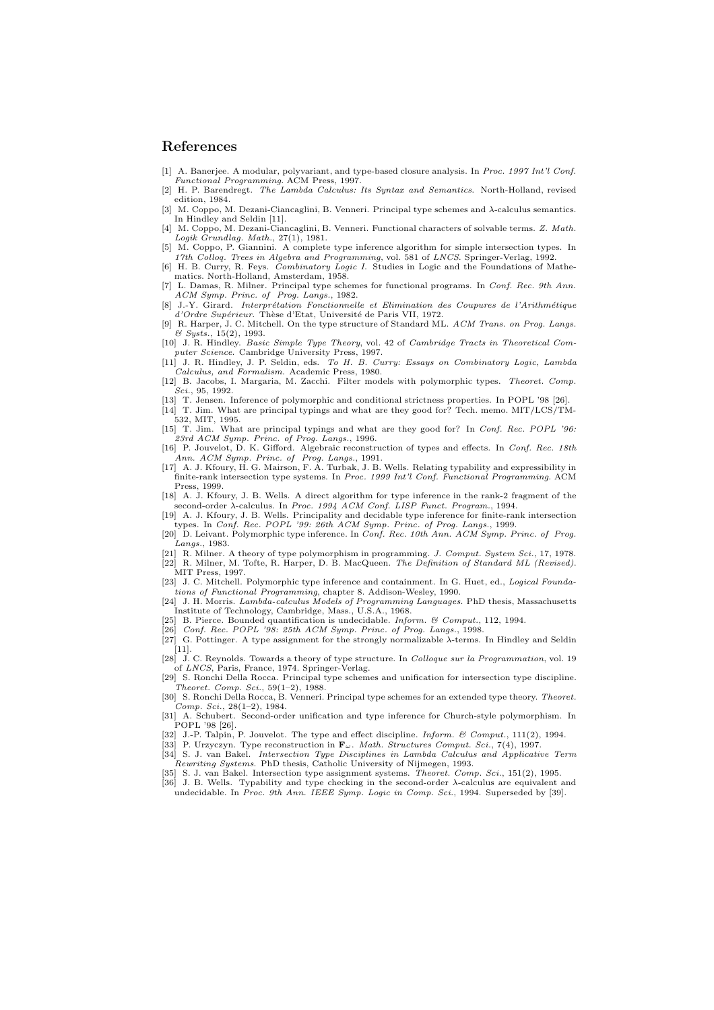### References

- [1] A. Banerjee. A modular, polyvariant, and type-based closure analysis. In Proc. 1997 Int'l Conf. Functional Programming. ACM Press, 1997.
- [2] H. P. Barendregt. The Lambda Calculus: Its Syntax and Semantics. North-Holland, revised edition, 1984.
- [3] M. Coppo, M. Dezani-Ciancaglini, B. Venneri. Principal type schemes and λ-calculus semantics. In Hindley and Seldin [11].
- [4] M. Coppo, M. Dezani-Ciancaglini, B. Venneri. Functional characters of solvable terms. Z. Math. Logik Grundlag. Math., 27(1), 1981.
- [5] M. Coppo, P. Giannini. A complete type inference algorithm for simple intersection types. In 17th Colloq. Trees in Algebra and Programming, vol. 581 of LNCS. Springer-Verlag, 1992.
- [6] H. B. Curry, R. Feys. Combinatory Logic I. Studies in Logic and the Foundations of Mathematics. North-Holland, Amsterdam, 1958.
- [7] L. Damas, R. Milner. Principal type schemes for functional programs. In Conf. Rec. 9th Ann. ACM Symp. Princ. of Prog. Langs., 1982.
- [8] J.-Y. Girard. Interprétation Fonctionnelle et Elimination des Coupures de l'Arithmétique d'Ordre Supérieur. Thèse d'Etat, Université de Paris VII, 1972.
- [9] R. Harper, J. C. Mitchell. On the type structure of Standard ML. ACM Trans. on Prog. Langs. & Systs., 15(2), 1993.
- [10] J. R. Hindley. Basic Simple Type Theory, vol. 42 of Cambridge Tracts in Theoretical Com-puter Science. Cambridge University Press, 1997.
- [11] J. R. Hindley, J. P. Seldin, eds. To H. B. Curry: Essays on Combinatory Logic, Lambda Calculus, and Formalism. Academic Press, 1980. [12] B. Jacobs, I. Margaria, M. Zacchi. Filter models with polymorphic types. Theoret. Comp.
- $Sci., 95, 1992.$ <br>[13] T. Jensen J.
- [13] T. Jensen. Inference of polymorphic and conditional strictness properties. In POPL '98 [26].
- [14] T. Jim. What are principal typings and what are they good for? Tech. memo. MIT/LCS/TM-532, MIT, 1995.<br>[15] T. Jim. What are principal typings and what are they good for? In *Conf. Rec. POPL '96:*
- 23rd ACM Symp. Princ. of Prog. Langs., 1996.<br>[16] P. Jouvelot, D. K. Gifford. Algebraic reconstruction of types and effects. In Conf. Rec. 18th
- Ann. ACM Symp. Princ. of Prog. Langs., 1991.
- [17] A. J. Kfoury, H. G. Mairson, F. A. Turbak, J. B. Wells. Relating typability and expressibility in finite-rank intersection type systems. In Proc. 1999 Int'l Conf. Functional Programming. ACM Press, 1999.
- [18] A. J. Kfoury, J. B. Wells. A direct algorithm for type inference in the rank-2 fragment of the second-order λ-calculus. In Proc. 1994 ACM Conf. LISP Funct. Program., 1994. [19] A. J. Kfoury, J. B. Wells. Principality and decidable type inference for finite-rank intersection
- types. In Conf. Rec. POPL '99: 26th ACM Symp. Princ. of Prog. Langs., 1999. [20] D. Leivant. Polymorphic type inference. In Conf. Rec. 10th Ann. ACM Symp. Princ. of Prog.
- Langs., 1983.
- [21] R. Milner. A theory of type polymorphism in programming. J. Comput. System Sci., 17, 1978. [22] R. Milner, M. Tofte, R. Harper, D. B. MacQueen. The Definition of Standard ML (Revised). MIT Press, 1997.
- [23] J. C. Mitchell. Polymorphic type inference and containment. In G. Huet, ed., *Logical Founda*tions of Functional Programming, chapter 8. Addison-Wesley, 1990.
- [24] J. H. Morris. Lambda-calculus Models of Programming Languages. PhD thesis, Massachusetts Institute of Technology, Cambridge, Mass., U.S.A., 1968.
- [25] B. Pierce. Bounded quantification is undecidable. *Inform.*  $\&$  Comput., 112, 1994. [26] Conf. Rec. POPL '98: 25th ACM Symp. Princ. of Prog. Langs., 1998.
- [26] Conf. Rec. POPL '98: 25th ACM Symp. Princ. of Prog. Langs., 1998.<br>[27] G. Pottinger, A type assignment for the strongly normalizable  $\lambda$ -terms.
- [27] G. Pottinger. A type assignment for the strongly normalizable λ-terms. In Hindley and Seldin  $\begin{bmatrix} 11 \\ 28 \end{bmatrix}$ .
- J. C. Reynolds. Towards a theory of type structure. In Colloque sur la Programmation, vol. 19 of LNCS, Paris, France, 1974. Springer-Verlag.
- [29] S. Ronchi Della Rocca. Principal type schemes and unification for intersection type discipline. Theoret. Comp. Sci., 59(1–2), 1988.
- [30] S. Ronchi Della Rocca, B. Venneri. Principal type schemes for an extended type theory. Theoret. Comp. Sci., 28(1–2), 1984.
- [31] A. Schubert. Second-order unification and type inference for Church-style polymorphism. In POPL '98 [26].
- [32] J.-P. Talpin, P. Jouvelot. The type and effect discipline. *Inform. & Comput.*, 111(2), 1994.<br>[33] P. Urzyczyn. Type reconstruction in  $\mathbf{F}_{\omega}$ . *Math. Structures Comput. Sci.*, 7(4), 1997.
- [34] S. J. van Bakel. Intersection Type Disciplines in Lambda Calculus and Applicative Term
- Rewriting Systems. PhD thesis, Catholic University of Nijmegen, 1993. [35] S. J. van Bakel. Intersection type assignment systems. Theoret. Comp. Sci., 151(2), 1995.
- [36] J. B. Wells. Typability and type checking in the second-order  $\lambda$ -calculus are equivalent and undecidable. In *Proc. 9th Ann. IEEE Symp. Logic in Comp. Sci.*, 1994. Superseded by [39].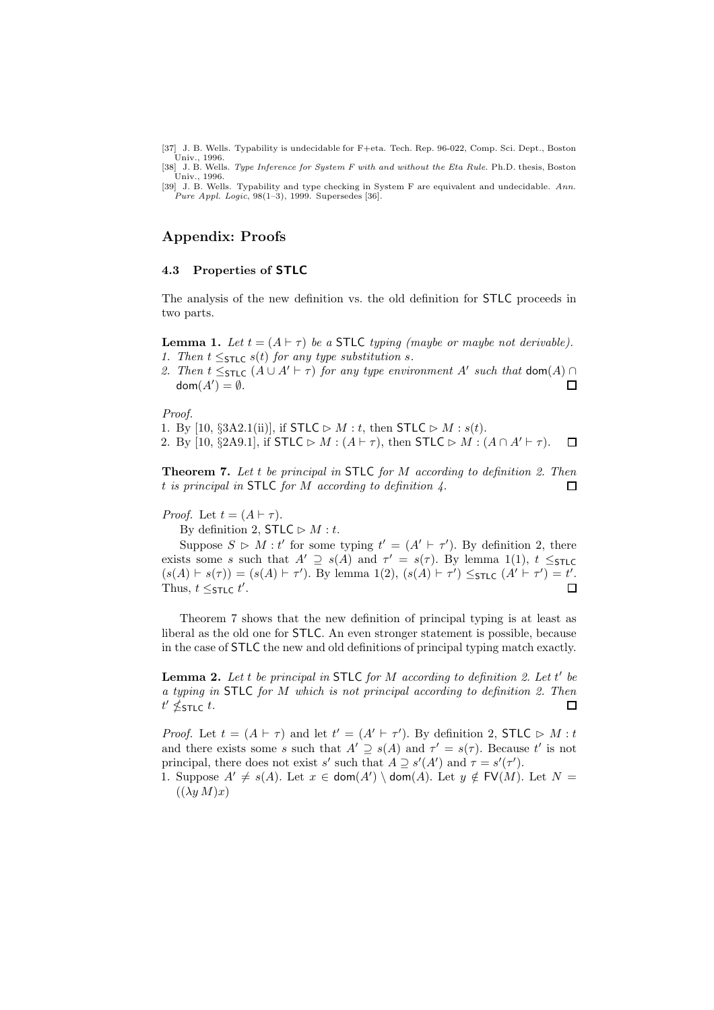[37] J. B. Wells. Typability is undecidable for F+eta. Tech. Rep. 96-022, Comp. Sci. Dept., Boston Univ., 1996. [38] J. B. Wells. Type Inference for System F with and without the Eta Rule. Ph.D. thesis, Boston

Univ., 1996.<br>
[39] J. B. Wells. Typability and type checking in System F are equivalent and undecidable. Ann.

Pure Appl. Logic, 98(1–3), 1999. Supersedes [36].

# Appendix: Proofs

### 4.3 Properties of STLC

The analysis of the new definition vs. the old definition for STLC proceeds in two parts.

**Lemma 1.** Let  $t = (A \vdash \tau)$  be a STLC typing (maybe or maybe not derivable). 1. Then  $t \leq$ STLC  $s(t)$  for any type substitution s.

2. Then  $t \leq$ STLC  $(A \cup A' \vdash \tau)$  for any type environment A' such that  $\text{dom}(A) \cap$  $\mathsf{dom}(A') = \emptyset.$ П

#### Proof.

1. By [10, §3A2.1(ii)], if  $STLC \rhd M : t$ , then  $STLC \rhd M : s(t)$ .

2. By [10, §2A9.1], if STLC  $\triangleright M : (A \vdash \tau)$ , then STLC  $\triangleright M : (A \cap A' \vdash \tau)$ .  $\Box$ 

**Theorem 7.** Let t be principal in STLC for  $M$  according to definition 2. Then t is principal in STLC for M according to definition 4.  $\Box$ 

### *Proof.* Let  $t = (A \vdash \tau)$ .

By definition 2,  $STLC \triangleright M : t$ .

Suppose  $S \supset M : t'$  for some typing  $t' = (A' \vdash \tau')$ . By definition 2, there exists some s such that  $A' \supseteq s(A)$  and  $\tau' = s(\tau)$ . By lemma 1(1),  $t \leq$ STLC  $(s(A) \vdash s(\tau)) = (s(A) \vdash \tau')$ . By lemma 1(2),  $(s(A) \vdash \tau') \leq$ STLC  $(A' \vdash \tau') = t'$ . Thus,  $t \leq$ STLC  $t'$ .  $\Box$ 

Theorem 7 shows that the new definition of principal typing is at least as liberal as the old one for STLC. An even stronger statement is possible, because in the case of STLC the new and old definitions of principal typing match exactly.

**Lemma 2.** Let t be principal in STLC for M according to definition 2. Let  $t'$  be a typing in STLC for M which is not principal according to definition 2. Then  $t'$   $\nleq$ stlc  $t$ .  $\Box$ 

*Proof.* Let  $t = (A \vdash \tau)$  and let  $t' = (A' \vdash \tau')$ . By definition 2, STLC  $\triangleright M : t$ and there exists some s such that  $A' \supseteq s(A)$  and  $\tau' = s(\tau)$ . Because t' is not principal, there does not exist s' such that  $A \supseteq s'(A')$  and  $\tau = s'(\tau')$ .

1. Suppose  $A' \neq s(A)$ . Let  $x \in \text{dom}(A') \setminus \text{dom}(A)$ . Let  $y \notin FV(M)$ . Let  $N =$  $((\lambda y\,M)x)$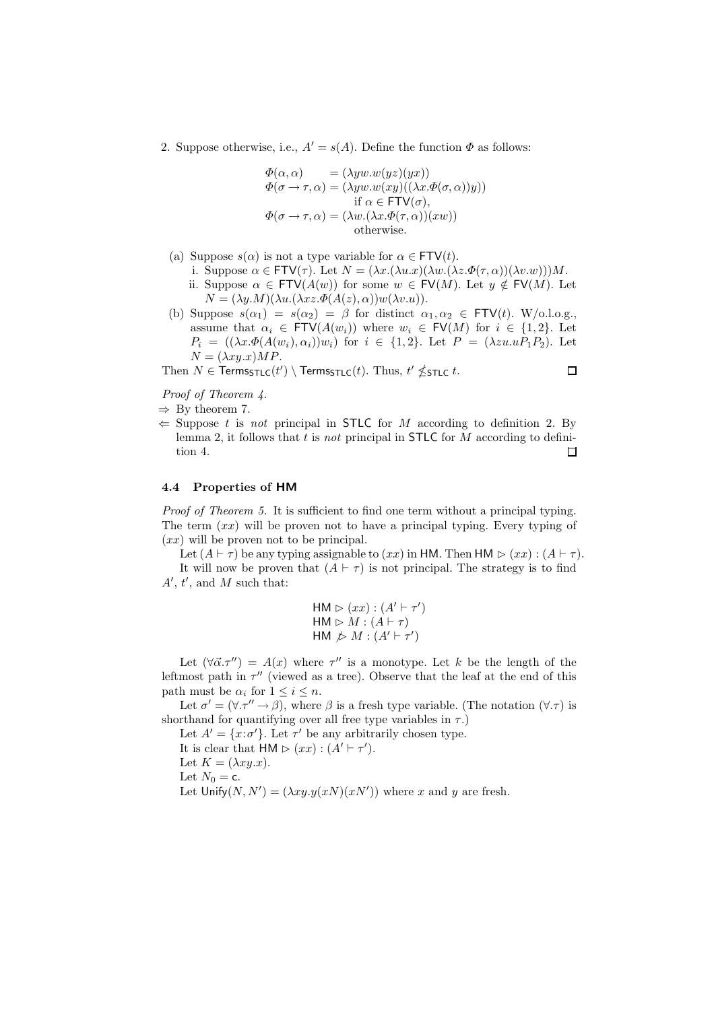2. Suppose otherwise, i.e.,  $A' = s(A)$ . Define the function  $\Phi$  as follows:

$$
\Phi(\alpha, \alpha) = (\lambda y w.w(yz)(yx))
$$
  
\n
$$
\Phi(\sigma \to \tau, \alpha) = (\lambda y w.w(xy)((\lambda x.\Phi(\sigma, \alpha))y))
$$
  
\nif  $\alpha \in \text{FTV}(\sigma)$ ,  
\n
$$
\Phi(\sigma \to \tau, \alpha) = (\lambda w.(\lambda x.\Phi(\tau, \alpha))(xw))
$$
  
\notherwise.

- (a) Suppose  $s(\alpha)$  is not a type variable for  $\alpha \in \text{FTV}(t)$ .
	- i. Suppose  $\alpha \in \text{FTV}(\tau)$ . Let  $N = (\lambda x.(\lambda u.x)(\lambda w.(\lambda z.\Phi(\tau,\alpha))(\lambda v.w)))M$ .
	- ii. Suppose  $\alpha \in \text{FTV}(A(w))$  for some  $w \in \text{FV}(M)$ . Let  $y \notin \text{FV}(M)$ . Let  $N = (\lambda y.M)(\lambda u.(\lambda xz.\Phi(A(z),\alpha))w(\lambda v.u)).$
- (b) Suppose  $s(\alpha_1) = s(\alpha_2) = \beta$  for distinct  $\alpha_1, \alpha_2 \in \text{FTV}(t)$ . W/o.l.o.g., assume that  $\alpha_i \in \text{FTV}(A(w_i))$  where  $w_i \in \text{FV}(M)$  for  $i \in \{1,2\}$ . Let  $P_i = ((\lambda x.\Phi(A(w_i), \alpha_i))w_i)$  for  $i \in \{1,2\}$ . Let  $P = (\lambda zu.uP_1P_2)$ . Let  $N = (\lambda xy.x)MP.$

Then  $N \in \mathsf{Terms}_{\mathsf{STLC}}(t') \setminus \mathsf{Terms}_{\mathsf{STLC}}(t)$ . Thus,  $t' \nleq_{\mathsf{STLC}} t$ .

 $\Box$ 

Proof of Theorem 4.

- $\Rightarrow$  By theorem 7.
- $\Leftarrow$  Suppose t is not principal in STLC for M according to definition 2. By lemma 2, it follows that  $t$  is not principal in STLC for  $M$  according to definition 4.  $\Box$

#### 4.4 Properties of HM

Proof of Theorem 5. It is sufficient to find one term without a principal typing. The term  $(xx)$  will be proven not to have a principal typing. Every typing of  $(xx)$  will be proven not to be principal.

Let  $(A \vdash \tau)$  be any typing assignable to  $(xx)$  in HM. Then HM  $\triangleright$   $(xx)$ :  $(A \vdash \tau)$ . It will now be proven that  $(A \vdash \tau)$  is not principal. The strategy is to find  $A', t',$  and M such that:

$$
HM \triangleright (xx) : (A' \vdash \tau')
$$
  

$$
HM \triangleright M : (A \vdash \tau)
$$
  

$$
HM \triangleright M : (A' \vdash \tau')
$$

Let  $(\forall \vec{\alpha}.\tau'') = A(x)$  where  $\tau''$  is a monotype. Let k be the length of the leftmost path in  $\tau''$  (viewed as a tree). Observe that the leaf at the end of this path must be  $\alpha_i$  for  $1 \leq i \leq n$ .

Let  $\sigma' = (\forall \tau'' \to \beta)$ , where  $\beta$  is a fresh type variable. (The notation  $(\forall \tau)$  is shorthand for quantifying over all free type variables in  $\tau$ .)

Let  $A' = \{x : \sigma'\}$ . Let  $\tau'$  be any arbitrarily chosen type.

- It is clear that  $HM \rhd (xx) : (A' \rhd \tau').$
- Let  $K = (\lambda xy.x)$ .
- Let  $N_0 = c$ .
- Let  $\text{Unify}(N, N') = (\lambda xy \cdot y(xN)(xN'))$  where x and y are fresh.